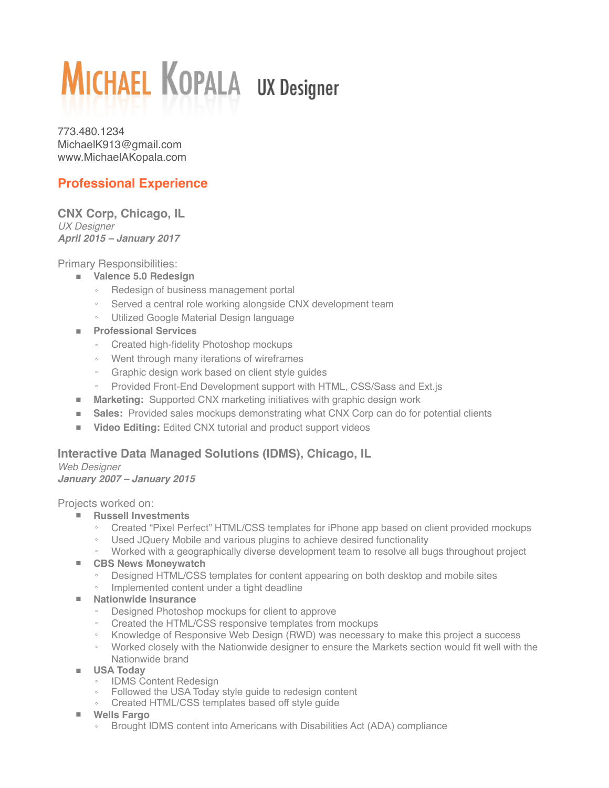# **MICHAEL KOPALA UX Designer**

773.480.1234 [MichaelK913@gmail.com](mailto:MichaelK913@gmail.com) [www.MichaelAKopala.com](http://www.MichaelAKopala.com/)

# **Professional Experience**

**CNX Corp, Chicago, IL** *UX Designer April 2015 – January 2017*

Primary Responsibilities:

- **Valence 5.0 Redesign** 
	- Redesign of business management portal
	- Served a central role working alongside CNX development team
	- Utilized Google Material Design language
- **Professional Services**
	- Created high-fidelity Photoshop mockups
	- Went through many iterations of wireframes
	- Graphic design work based on client style guides
	- Provided Front-End Development support with HTML, CSS/Sass and Ext.js
- **Marketing:** Supported CNX marketing initiatives with graphic design work
- **Sales:** Provided sales mockups demonstrating what CNX Corp can do for potential clients
- **Video Editing:** Edited CNX tutorial and product support videos

## **Interactive Data Managed Solutions (IDMS), Chicago, IL**

*Web Designer January 2007 – January 2015*

Projects worked on:

- **Russell Investments**
	- Created "Pixel Perfect" HTML/CSS templates for iPhone app based on client provided mockups
	- Used JQuery Mobile and various plugins to achieve desired functionality
- Worked with a geographically diverse development team to resolve all bugs throughout project ■ **CBS News Moneywatch**
	- Designed HTML/CSS templates for content appearing on both desktop and mobile sites
	- Implemented content under a tight deadline
- **Nationwide Insurance**
	- Designed Photoshop mockups for client to approve
	- Created the HTML/CSS responsive templates from mockups
	- Knowledge of Responsive Web Design (RWD) was necessary to make this project a success
	- Worked closely with the Nationwide designer to ensure the Markets section would fit well with the Nationwide brand
- **USA Today**
	- IDMS Content Redesign
	- Followed the USA Today style guide to redesign content
	- Created HTML/CSS templates based off style guide
- **Wells Fargo**
	- Brought IDMS content into Americans with Disabilities Act (ADA) compliance